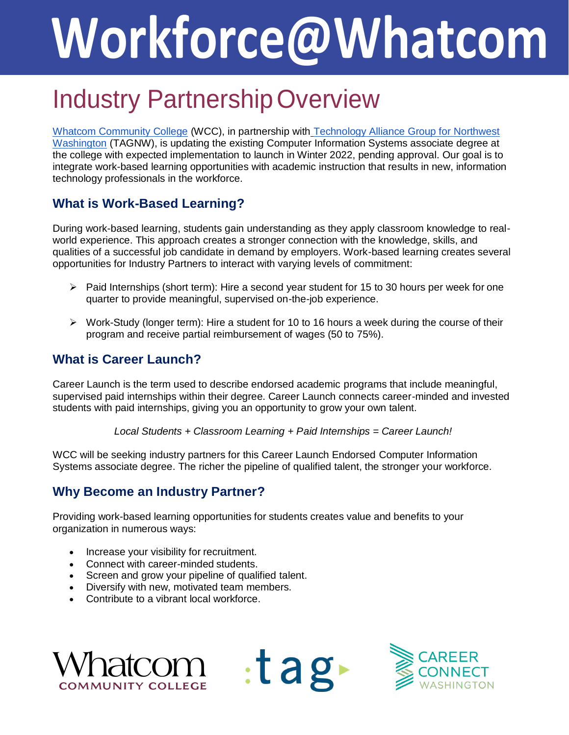# **Workforce@Whatcom**

# Industry PartnershipOverview

[Whatcom Community College](https://www.whatcom.edu/) (WCC), in partnership with [Technology Alliance Group for Northwest](https://www.tagnw.org/) [Washington](https://www.tagnw.org/) (TAGNW), is updating the existing Computer Information Systems associate degree at the college with expected implementation to launch in Winter 2022, pending approval. Our goal is to integrate work-based learning opportunities with academic instruction that results in new, information technology professionals in the workforce.

# **What is Work-Based Learning?**

During work-based learning, students gain understanding as they apply classroom knowledge to realworld experience. This approach creates a stronger connection with the knowledge, skills, and qualities of a successful job candidate in demand by employers. Work-based learning creates several opportunities for Industry Partners to interact with varying levels of commitment:

- $\triangleright$  Paid Internships (short term): Hire a second year student for 15 to 30 hours per week for one quarter to provide meaningful, supervised on-the-job experience.
- $\triangleright$  Work-Study (longer term): Hire a student for 10 to 16 hours a week during the course of their program and receive partial reimbursement of wages (50 to 75%).

## **What is Career Launch?**

Career Launch is the term used to describe endorsed academic programs that include meaningful, supervised paid internships within their degree. Career Launch connects career-minded and invested students with paid internships, giving you an opportunity to grow your own talent.

*Local Students + Classroom Learning + Paid Internships = Career Launch!*

 $:$ tag $\blacktriangleright$ 

WCC will be seeking industry partners for this Career Launch Endorsed Computer Information Systems associate degree. The richer the pipeline of qualified talent, the stronger your workforce.

#### **Why Become an Industry Partner?**

Providing work-based learning opportunities for students creates value and benefits to your organization in numerous ways:

- Increase your visibility for recruitment.
- Connect with career-minded students.
- Screen and grow your pipeline of qualified talent.
- Diversify with new, motivated team members.
- Contribute to a vibrant local workforce.



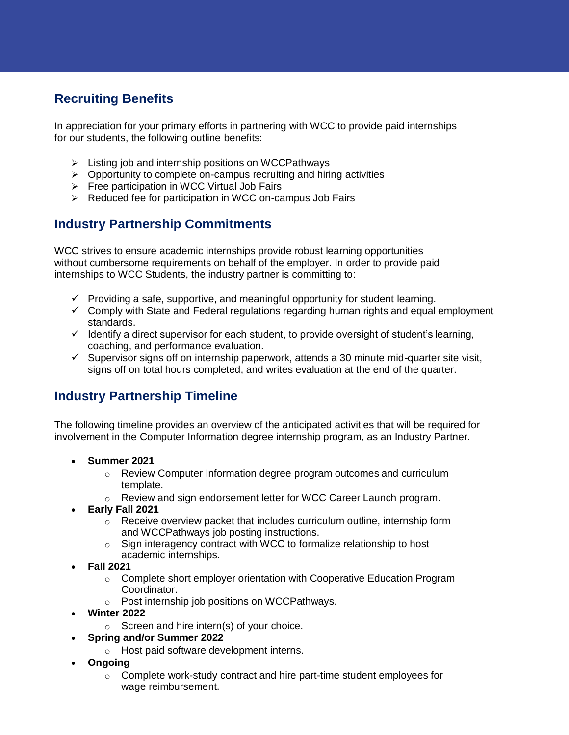# **Recruiting Benefits**

In appreciation for your primary efforts in partnering with WCC to provide paid internships for our students, the following outline benefits:

- $\triangleright$  Listing job and internship positions on WCCPathways
- $\triangleright$  Opportunity to complete on-campus recruiting and hiring activities
- $\triangleright$  Free participation in WCC Virtual Job Fairs
- $\triangleright$  Reduced fee for participation in WCC on-campus Job Fairs

## **Industry Partnership Commitments**

WCC strives to ensure academic internships provide robust learning opportunities without cumbersome requirements on behalf of the employer. In order to provide paid internships to WCC Students, the industry partner is committing to:

- $\checkmark$  Providing a safe, supportive, and meaningful opportunity for student learning.
- $\checkmark$  Comply with State and Federal regulations regarding human rights and equal employment standards.
- $\checkmark$  Identify a direct supervisor for each student, to provide oversight of student's learning, coaching, and performance evaluation.
- $\checkmark$  Supervisor signs off on internship paperwork, attends a 30 minute mid-quarter site visit, signs off on total hours completed, and writes evaluation at the end of the quarter.

#### **Industry Partnership Timeline**

The following timeline provides an overview of the anticipated activities that will be required for involvement in the Computer Information degree internship program, as an Industry Partner.

- **Summer 2021**
	- o Review Computer Information degree program outcomes and curriculum template.
	- o Review and sign endorsement letter for WCC Career Launch program.
- **Early Fall 2021**
	- o Receive overview packet that includes curriculum outline, internship form and WCCPathways job posting instructions.
	- o Sign interagency contract with WCC to formalize relationship to host academic internships.
- **Fall 2021**
	- $\circ$  Complete short employer orientation with Cooperative Education Program Coordinator.
	- o Post internship job positions on WCCPathways.
- **Winter 2022**
	- $\circ$  Screen and hire intern(s) of your choice.
- **Spring and/or Summer 2022**
	- o Host paid software development interns.
- **Ongoing**
	- o Complete work-study contract and hire part-time student employees for wage reimbursement.